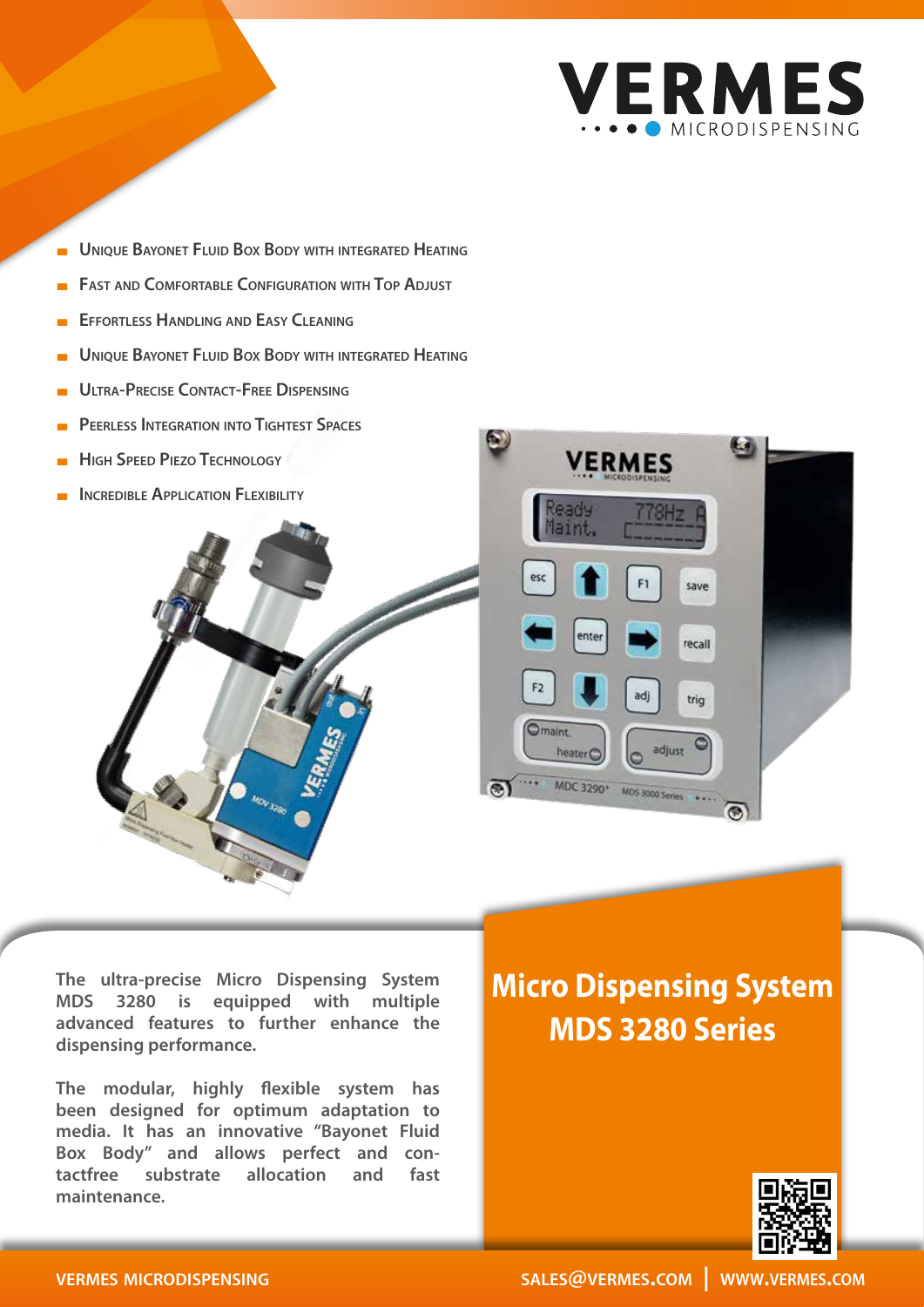

- **UNIQUE BAYONET FLUID BOX BODY WITH INTEGRATED HEATING**
- **FAST AND COMFORTABLE CONFIGURATION WITH TOP ADJUST**
- **Effortless Handling and Easy Cleaning**
- **UNIQUE BAYONET FLUID BOX BODY WITH INTEGRATED HEATING**
- **Ultra-Precise Contact-Free Dispensing**
- **Peerless Integration into Tightest Spaces**
- **High Speed Piezo Technology**
- **INCREDIBLE APPLICATION FLEXIBILITY**





**The ultra-precise Micro Dispensing System MDS 3280 is equipped with multiple advanced features to further enhance the dispensing performance.**

**The modular, highly flexible system has been designed for optimum adaptation to media. It has an innovative "Bayonet Fluid Box Body" and allows perfect and contactfree substrate allocation and fast maintenance.**

## **Micro Dispensing System MDS 3280 Series**



## **vermes microdispensing**